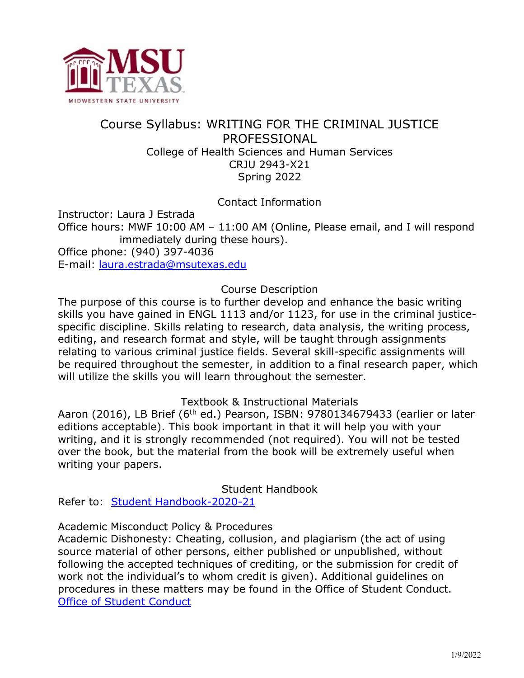

# Course Syllabus: WRITING FOR THE CRIMINAL JUSTICE PROFESSIONAL College of Health Sciences and Human Services CRJU 2943-X21 Spring 2022

Contact Information

Instructor: Laura J Estrada

Office hours: MWF 10:00 AM – 11:00 AM (Online, Please email, and I will respond immediately during these hours).

Office phone: (940) 397-4036

E-mail: [laura.estrada@msutexas.edu](mailto:laura.estrada@msutexas.edu) 

### Course Description

The purpose of this course is to further develop and enhance the basic writing skills you have gained in ENGL 1113 and/or 1123, for use in the criminal justicespecific discipline. Skills relating to research, data analysis, the writing process, editing, and research format and style, will be taught through assignments relating to various criminal justice fields. Several skill-specific assignments will be required throughout the semester, in addition to a final research paper, which will utilize the skills you will learn throughout the semester.

Textbook & Instructional Materials

Aaron (2016), LB Brief (6<sup>th</sup> ed.) Pearson, ISBN: 9780134679433 (earlier or later editions acceptable). This book important in that it will help you with your writing, and it is strongly recommended (not required). You will not be tested over the book, but the material from the book will be extremely useful when writing your papers.

Student Handbook

Refer to: Student Handbook-2020-21

Academic Misconduct Policy & Procedures

Academic Dishonesty: Cheating, collusion, and plagiarism (the act of using source material of other persons, either published or unpublished, without following the accepted techniques of crediting, or the submission for credit of work not the individual's to whom credit is given). Additional guidelines on procedures in these matters may be found in the Office of Student Conduct. [Office of Student Conduct](https://msutexas.edu/student-life/conduct/)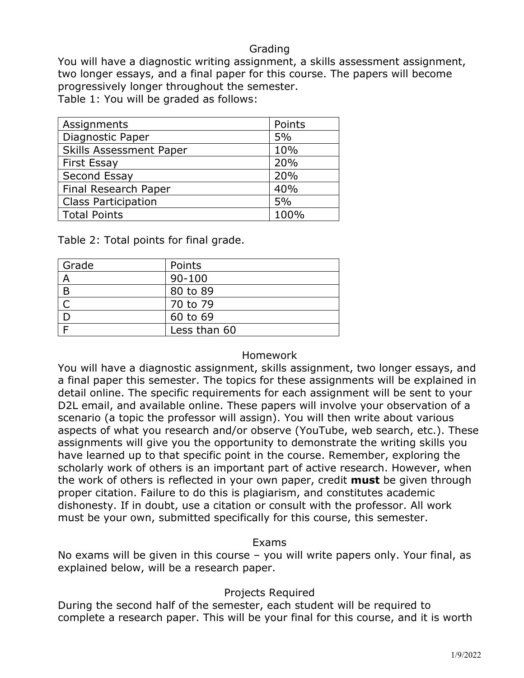### Grading

You will have a diagnostic writing assignment, a skills assessment assignment, two longer essays, and a final paper for this course. The papers will become progressively longer throughout the semester.

Table 1: You will be graded as follows:

| Assignments                    | Points |
|--------------------------------|--------|
| Diagnostic Paper               | 5%     |
| <b>Skills Assessment Paper</b> | 10%    |
| <b>First Essay</b>             | 20%    |
| Second Essay                   | 20%    |
| Final Research Paper           | 40%    |
| <b>Class Participation</b>     | 5%     |
| <b>Total Points</b>            | 100%   |

Table 2: Total points for final grade.

| Grade | Points       |
|-------|--------------|
| A     | $90 - 100$   |
| B     | 80 to 89     |
|       | 70 to 79     |
|       | 60 to 69     |
|       | Less than 60 |

#### Homework

You will have a diagnostic assignment, skills assignment, two longer essays, and a final paper this semester. The topics for these assignments will be explained in detail online. The specific requirements for each assignment will be sent to your D2L email, and available online. These papers will involve your observation of a scenario (a topic the professor will assign). You will then write about various aspects of what you research and/or observe (YouTube, web search, etc.). These assignments will give you the opportunity to demonstrate the writing skills you have learned up to that specific point in the course. Remember, exploring the scholarly work of others is an important part of active research. However, when the work of others is reflected in your own paper, credit **must** be given through proper citation. Failure to do this is plagiarism, and constitutes academic dishonesty. If in doubt, use a citation or consult with the professor. All work must be your own, submitted specifically for this course, this semester.

#### Exams

No exams will be given in this course – you will write papers only. Your final, as explained below, will be a research paper.

#### Projects Required

During the second half of the semester, each student will be required to complete a research paper. This will be your final for this course, and it is worth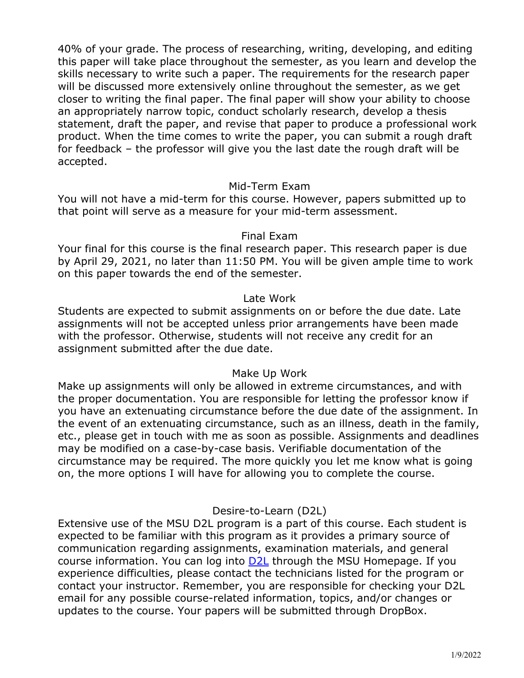40% of your grade. The process of researching, writing, developing, and editing this paper will take place throughout the semester, as you learn and develop the skills necessary to write such a paper. The requirements for the research paper will be discussed more extensively online throughout the semester, as we get closer to writing the final paper. The final paper will show your ability to choose an appropriately narrow topic, conduct scholarly research, develop a thesis statement, draft the paper, and revise that paper to produce a professional work product. When the time comes to write the paper, you can submit a rough draft for feedback – the professor will give you the last date the rough draft will be accepted.

#### Mid-Term Exam

You will not have a mid-term for this course. However, papers submitted up to that point will serve as a measure for your mid-term assessment.

#### Final Exam

Your final for this course is the final research paper. This research paper is due by April 29, 2021, no later than 11:50 PM. You will be given ample time to work on this paper towards the end of the semester.

#### Late Work

Students are expected to submit assignments on or before the due date. Late assignments will not be accepted unless prior arrangements have been made with the professor. Otherwise, students will not receive any credit for an assignment submitted after the due date.

#### Make Up Work

Make up assignments will only be allowed in extreme circumstances, and with the proper documentation. You are responsible for letting the professor know if you have an extenuating circumstance before the due date of the assignment. In the event of an extenuating circumstance, such as an illness, death in the family, etc., please get in touch with me as soon as possible. Assignments and deadlines may be modified on a case-by-case basis. Verifiable documentation of the circumstance may be required. The more quickly you let me know what is going on, the more options I will have for allowing you to complete the course.

#### Desire-to-Learn (D2L)

Extensive use of the MSU D2L program is a part of this course. Each student is expected to be familiar with this program as it provides a primary source of communication regarding assignments, examination materials, and general course information. You can log into [D2L](https://d2l.msutexas.edu/) through the MSU Homepage. If you experience difficulties, please contact the technicians listed for the program or contact your instructor. Remember, you are responsible for checking your D2L email for any possible course-related information, topics, and/or changes or updates to the course. Your papers will be submitted through DropBox.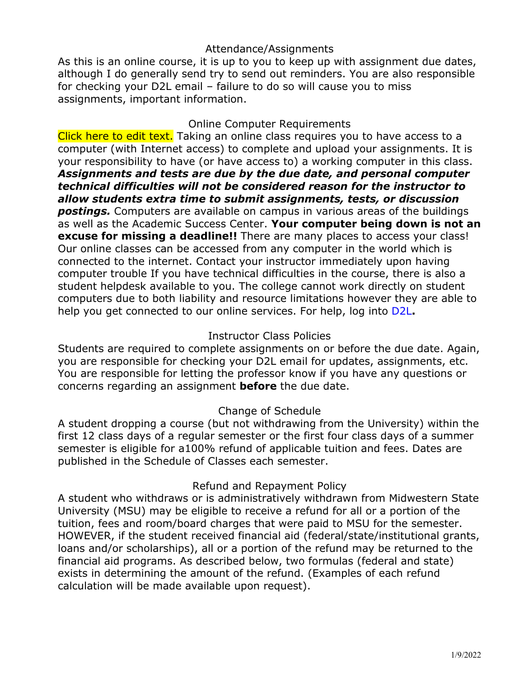# Attendance/Assignments

As this is an online course, it is up to you to keep up with assignment due dates, although I do generally send try to send out reminders. You are also responsible for checking your D2L email – failure to do so will cause you to miss assignments, important information.

#### Online Computer Requirements

Click here to edit text. Taking an online class requires you to have access to a computer (with Internet access) to complete and upload your assignments. It is your responsibility to have (or have access to) a working computer in this class. *Assignments and tests are due by the due date, and personal computer technical difficulties will not be considered reason for the instructor to allow students extra time to submit assignments, tests, or discussion postings.* Computers are available on campus in various areas of the buildings as well as the Academic Success Center. **Your computer being down is not an excuse for missing a deadline!!** There are many places to access your class! Our online classes can be accessed from any computer in the world which is connected to the internet. Contact your instructor immediately upon having computer trouble If you have technical difficulties in the course, there is also a student helpdesk available to you. The college cannot work directly on student computers due to both liability and resource limitations however they are able to help you get connected to our online services. For help, log into [D2L](https://d2l.msutexas.edu/)**.** 

# Instructor Class Policies

Students are required to complete assignments on or before the due date. Again, you are responsible for checking your D2L email for updates, assignments, etc. You are responsible for letting the professor know if you have any questions or concerns regarding an assignment **before** the due date.

# Change of Schedule

A student dropping a course (but not withdrawing from the University) within the first 12 class days of a regular semester or the first four class days of a summer semester is eligible for a100% refund of applicable tuition and fees. Dates are published in the Schedule of Classes each semester.

# Refund and Repayment Policy

A student who withdraws or is administratively withdrawn from Midwestern State University (MSU) may be eligible to receive a refund for all or a portion of the tuition, fees and room/board charges that were paid to MSU for the semester. HOWEVER, if the student received financial aid (federal/state/institutional grants, loans and/or scholarships), all or a portion of the refund may be returned to the financial aid programs. As described below, two formulas (federal and state) exists in determining the amount of the refund. (Examples of each refund calculation will be made available upon request).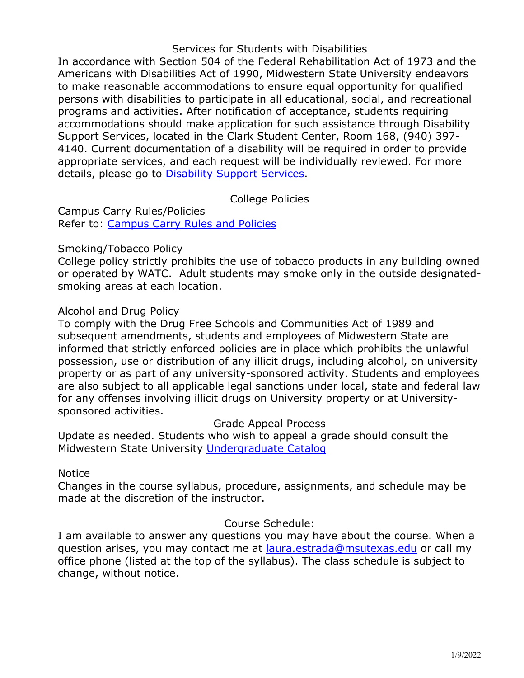### Services for Students with Disabilities

In accordance with Section 504 of the Federal Rehabilitation Act of 1973 and the Americans with Disabilities Act of 1990, Midwestern State University endeavors to make reasonable accommodations to ensure equal opportunity for qualified persons with disabilities to participate in all educational, social, and recreational programs and activities. After notification of acceptance, students requiring accommodations should make application for such assistance through Disability Support Services, located in the Clark Student Center, Room 168, (940) 397- 4140. Current documentation of a disability will be required in order to provide appropriate services, and each request will be individually reviewed. For more details, please go to [Disability Support Services.](https://msutexas.edu/student-life/disability/)

# College Policies

Campus Carry Rules/Policies Refer to: [Campus Carry Rules and Policies](https://msutexas.edu/campus-carry/rules-policies.php)

### Smoking/Tobacco Policy

College policy strictly prohibits the use of tobacco products in any building owned or operated by WATC. Adult students may smoke only in the outside designatedsmoking areas at each location.

### Alcohol and Drug Policy

To comply with the Drug Free Schools and Communities Act of 1989 and subsequent amendments, students and employees of Midwestern State are informed that strictly enforced policies are in place which prohibits the unlawful possession, use or distribution of any illicit drugs, including alcohol, on university property or as part of any university-sponsored activity. Students and employees are also subject to all applicable legal sanctions under local, state and federal law for any offenses involving illicit drugs on University property or at Universitysponsored activities.

#### Grade Appeal Process

Update as needed. Students who wish to appeal a grade should consult the Midwestern State University [Undergraduate Catalog](https://catalog.msutexas.edu/content.php?catoid=14&navoid=655#Appeal_of_Course_Grade)

#### Notice

Changes in the course syllabus, procedure, assignments, and schedule may be made at the discretion of the instructor.

# Course Schedule:

I am available to answer any questions you may have about the course. When a question arises, you may contact me at [laura.estrada@msutexas.edu](mailto:laura.estrada@msutexas.edu) or call my office phone (listed at the top of the syllabus). The class schedule is subject to change, without notice.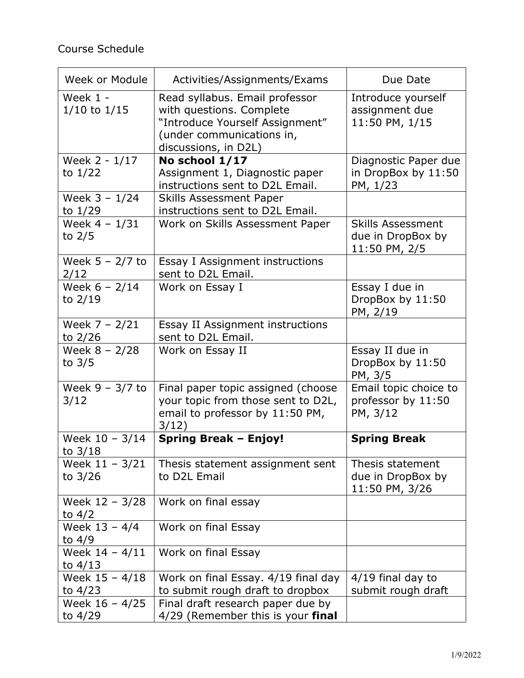| Week or Module                 | Activities/Assignments/Exams                                                                                                                       | Due Date                                                       |
|--------------------------------|----------------------------------------------------------------------------------------------------------------------------------------------------|----------------------------------------------------------------|
| Week $1 -$<br>$1/10$ to $1/15$ | Read syllabus. Email professor<br>with questions. Complete<br>"Introduce Yourself Assignment"<br>(under communications in,<br>discussions, in D2L) | Introduce yourself<br>assignment due<br>11:50 PM, 1/15         |
| Week 2 - 1/17<br>to $1/22$     | No school 1/17<br>Assignment 1, Diagnostic paper<br>instructions sent to D2L Email.                                                                | Diagnostic Paper due<br>in DropBox by 11:50<br>PM, 1/23        |
| Week $3 - 1/24$<br>to $1/29$   | <b>Skills Assessment Paper</b><br>instructions sent to D2L Email.                                                                                  |                                                                |
| Week $4 - 1/31$<br>to $2/5$    | Work on Skills Assessment Paper                                                                                                                    | <b>Skills Assessment</b><br>due in DropBox by<br>11:50 PM, 2/5 |
| Week $5 - 2/7$ to<br>2/12      | Essay I Assignment instructions<br>sent to D2L Email.                                                                                              |                                                                |
| Week $6 - 2/14$<br>to $2/19$   | Work on Essay I                                                                                                                                    | Essay I due in<br>DropBox by 11:50<br>PM, 2/19                 |
| Week $7 - 2/21$<br>to 2/26     | Essay II Assignment instructions<br>sent to D2L Email.                                                                                             |                                                                |
| Week $8 - 2/28$<br>to $3/5$    | Work on Essay II                                                                                                                                   | Essay II due in<br>DropBox by 11:50<br>PM, 3/5                 |
| Week $9 - 3/7$ to<br>3/12      | Final paper topic assigned (choose<br>your topic from those sent to D2L,<br>email to professor by 11:50 PM,<br>3/12)                               | Email topic choice to<br>professor by 11:50<br>PM, 3/12        |
| Week $10 - 3/14$<br>to $3/18$  | <b>Spring Break - Enjoy!</b>                                                                                                                       | <b>Spring Break</b>                                            |
| Week $11 - 3/21$<br>to $3/26$  | Thesis statement assignment sent<br>to D2L Email                                                                                                   | Thesis statement<br>due in DropBox by<br>11:50 PM, 3/26        |
| Week 12 - 3/28<br>to $4/2$     | Work on final essay                                                                                                                                |                                                                |
| Week 13 - 4/4<br>to $4/9$      | Work on final Essay                                                                                                                                |                                                                |
| Week $14 - 4/11$<br>to $4/13$  | Work on final Essay                                                                                                                                |                                                                |
| Week 15 - 4/18<br>to $4/23$    | Work on final Essay. 4/19 final day<br>to submit rough draft to dropbox                                                                            | $4/19$ final day to<br>submit rough draft                      |
| Week $16 - 4/25$<br>to $4/29$  | Final draft research paper due by<br>4/29 (Remember this is your final                                                                             |                                                                |